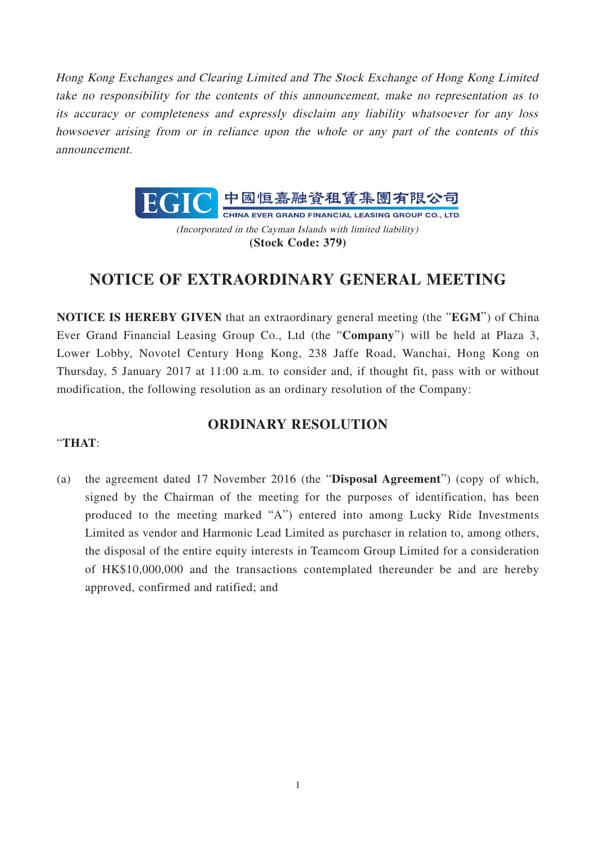Hong Kong Exchanges and Clearing Limited and The Stock Exchange of Hong Kong Limited take no responsibility for the contents of this announcement, make no representation as to its accuracy or completeness and expressly disclaim any liability whatsoever for any loss howsoever arising from or in reliance upon the whole or any part of the contents of this announcement.



**(Stock Code: 379)**

## **NOTICE OF EXTRAORDINARY GENERAL MEETING**

**NOTICE IS HEREBY GIVEN** that an extraordinary general meeting (the "**EGM**") of China Ever Grand Financial Leasing Group Co., Ltd (the "**Company**") will be held at Plaza 3, Lower Lobby, Novotel Century Hong Kong, 238 Jaffe Road, Wanchai, Hong Kong on Thursday, 5 January 2017 at 11:00 a.m. to consider and, if thought fit, pass with or without modification, the following resolution as an ordinary resolution of the Company:

## **ORDINARY RESOLUTION**

## "**THAT**:

(a) the agreement dated 17 November 2016 (the "**Disposal Agreement**") (copy of which, signed by the Chairman of the meeting for the purposes of identification, has been produced to the meeting marked "A") entered into among Lucky Ride Investments Limited as vendor and Harmonic Lead Limited as purchaser in relation to, among others, the disposal of the entire equity interests in Teamcom Group Limited for a consideration of HK\$10,000,000 and the transactions contemplated thereunder be and are hereby approved, confirmed and ratified; and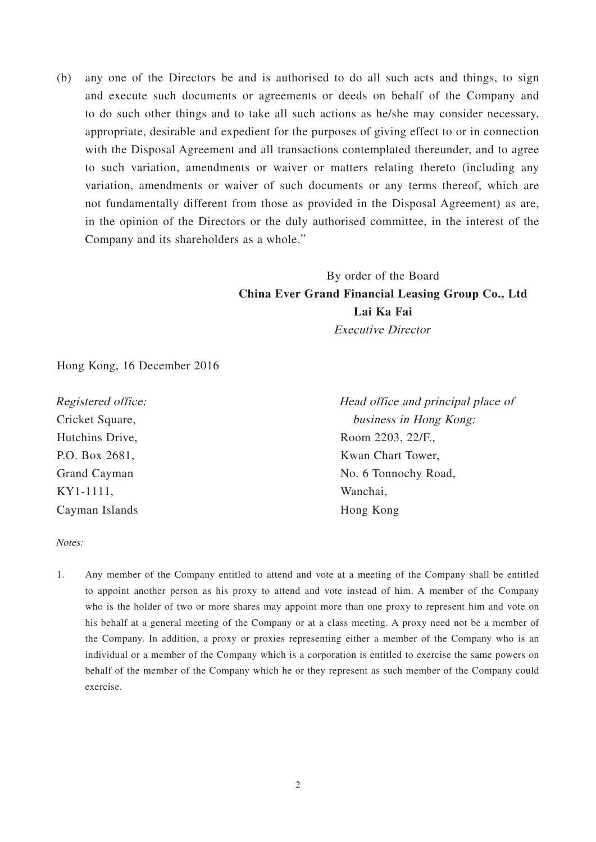(b) any one of the Directors be and is authorised to do all such acts and things, to sign and execute such documents or agreements or deeds on behalf of the Company and to do such other things and to take all such actions as he/she may consider necessary, appropriate, desirable and expedient for the purposes of giving effect to or in connection with the Disposal Agreement and all transactions contemplated thereunder, and to agree to such variation, amendments or waiver or matters relating thereto (including any variation, amendments or waiver of such documents or any terms thereof, which are not fundamentally different from those as provided in the Disposal Agreement) as are, in the opinion of the Directors or the duly authorised committee, in the interest of the Company and its shareholders as a whole."

## By order of the Board **China Ever Grand Financial Leasing Group Co., Ltd Lai Ka Fai**  Executive Director

Hong Kong, 16 December 2016

Registered office: Cricket Square, Hutchins Drive, P.O. Box 2681, Grand Cayman KY1-1111, Cayman Islands

Head office and principal place of business in Hong Kong: Room 2203, 22/F., Kwan Chart Tower, No. 6 Tonnochy Road, Wanchai, Hong Kong

Notes:

1. Any member of the Company entitled to attend and vote at a meeting of the Company shall be entitled to appoint another person as his proxy to attend and vote instead of him. A member of the Company who is the holder of two or more shares may appoint more than one proxy to represent him and vote on his behalf at a general meeting of the Company or at a class meeting. A proxy need not be a member of the Company. In addition, a proxy or proxies representing either a member of the Company who is an individual or a member of the Company which is a corporation is entitled to exercise the same powers on behalf of the member of the Company which he or they represent as such member of the Company could exercise.